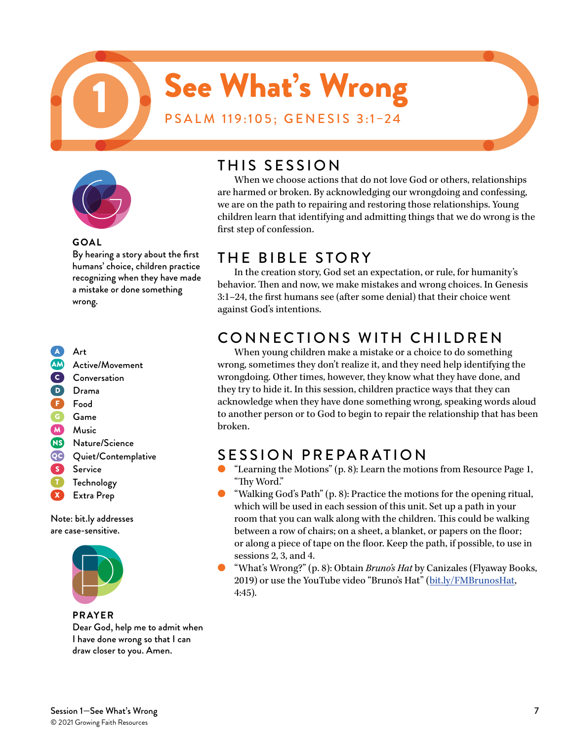



#### **GOAL**

By hearing a story about the first humans' choice, children practice recognizing when they have made a mistake or done something wrong.



Note: bit.ly addresses are case-sensitive.



### **PRAYER**

Dear God, help me to admit when I have done wrong so that I can draw closer to you. Amen.

### THIS SESSION

When we choose actions that do not love God or others, relationships are harmed or broken. By acknowledging our wrongdoing and confessing, we are on the path to repairing and restoring those relationships. Young children learn that identifying and admitting things that we do wrong is the first step of confession.

## THE BIBLE STORY

In the creation story, God set an expectation, or rule, for humanity's behavior. Then and now, we make mistakes and wrong choices. In Genesis 3:1–24, the first humans see (after some denial) that their choice went against God's intentions.

## CONNECTIONS WITH CHILDREN

When young children make a mistake or a choice to do something wrong, sometimes they don't realize it, and they need help identifying the wrongdoing. Other times, however, they know what they have done, and they try to hide it. In this session, children practice ways that they can acknowledge when they have done something wrong, speaking words aloud to another person or to God to begin to repair the relationship that has been broken.

## SESSION PREPARATION

- "Learning the Motions"  $(p, 8)$ : Learn the motions from Resource Page 1, "Thy Word."
- "Walking God's Path" (p. 8): Practice the motions for the opening ritual, which will be used in each session of this unit. Set up a path in your room that you can walk along with the children. This could be walking between a row of chairs; on a sheet, a blanket, or papers on the floor; or along a piece of tape on the floor. Keep the path, if possible, to use in sessions 2, 3, and 4.
- "What's Wrong?" (p. 8): Obtain *Bruno's Hat* by Canizales (Flyaway Books, 2019) or use the YouTube video "Bruno's Hat" ([bit.ly/FMBrunosHat](http://bit.ly/FMBrunosHat), 4:45).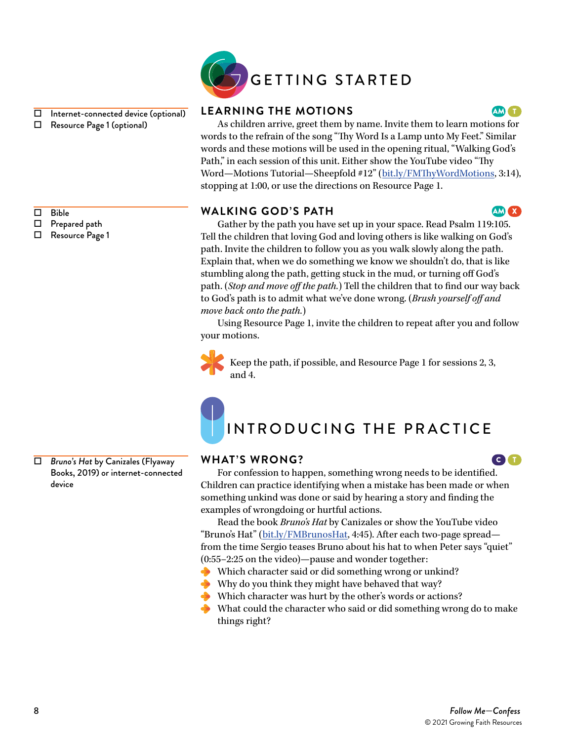

### **LEARNING THE MOTIONS**

As children arrive, greet them by name. Invite them to learn motions for words to the refrain of the song "Thy Word Is a Lamp unto My Feet." Similar words and these motions will be used in the opening ritual, "Walking God's Path," in each session of this unit. Either show the YouTube video "Thy Word—Motions Tutorial—Sheepfold #12" [\(bit.ly/FMThyWordMotions,](http://bit.ly/FMThyWordMotions) 3:14), stopping at 1:00, or use the directions on Resource Page 1.

### **WALKING GOD'S PATH**

Gather by the path you have set up in your space. Read Psalm 119:105. Tell the children that loving God and loving others is like walking on God's path. Invite the children to follow you as you walk slowly along the path. Explain that, when we do something we know we shouldn't do, that is like stumbling along the path, getting stuck in the mud, or turning off God's path. (*Stop and move off the path.*) Tell the children that to find our way back to God's path is to admit what we've done wrong. (*Brush yourself off and move back onto the path.*)

Using Resource Page 1, invite the children to repeat after you and follow your motions.

Keep the path, if possible, and Resource Page 1 for sessions 2, 3, and 4.

# INTRODUCING THE PRACTICE

### **WHAT'S WRONG?**

For confession to happen, something wrong needs to be identified. Children can practice identifying when a mistake has been made or when something unkind was done or said by hearing a story and finding the examples of wrongdoing or hurtful actions.

Read the book *Bruno's Hat* by Canizales or show the YouTube video "Bruno's Hat" ([bit.ly/FMBrunosHat,](http://bit.ly/FMBrunosHat) 4:45). After each two-page spreadfrom the time Sergio teases Bruno about his hat to when Peter says "quiet" (0:55–2:25 on the video)—pause and wonder together:

- Which character said or did something wrong or unkind?
- Why do you think they might have behaved that way?
- Which character was hurt by the other's words or actions?
- What could the character who said or did something wrong do to make things right?

 *Bruno's Hat* by Canizales (Flyaway Books, 2019) or internet-connected device

Internet-connected device (optional)

Resource Page 1 (optional)

 $\square$  Bible

 $\square$  Prepared path □ Resource Page 1



AM X



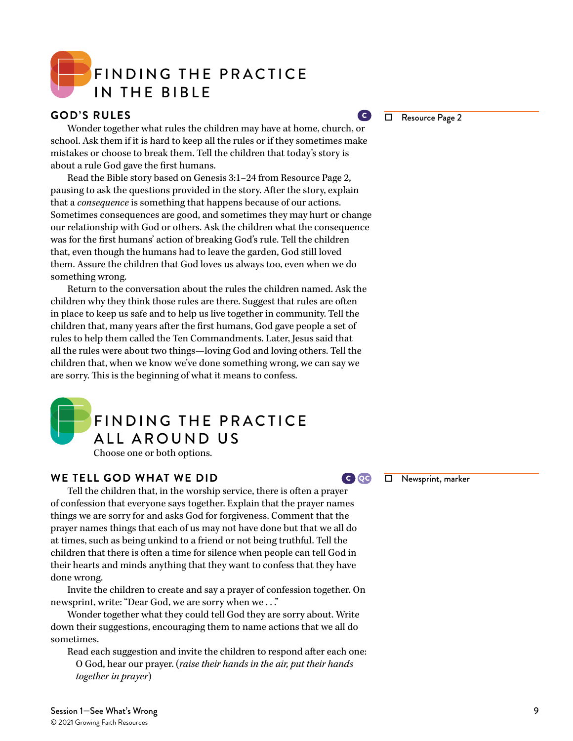# FINDING THE PRACTICE IN THE BIBLE

#### **GOD'S RULES**

Wonder together what rules the children may have at home, church, or school. Ask them if it is hard to keep all the rules or if they sometimes make mistakes or choose to break them. Tell the children that today's story is about a rule God gave the first humans.

Read the Bible story based on Genesis 3:1–24 from Resource Page 2, pausing to ask the questions provided in the story. After the story, explain that a *consequence* is something that happens because of our actions. Sometimes consequences are good, and sometimes they may hurt or change our relationship with God or others. Ask the children what the consequence was for the first humans' action of breaking God's rule. Tell the children that, even though the humans had to leave the garden, God still loved them. Assure the children that God loves us always too, even when we do something wrong.

Return to the conversation about the rules the children named. Ask the children why they think those rules are there. Suggest that rules are often in place to keep us safe and to help us live together in community. Tell the children that, many years after the first humans, God gave people a set of rules to help them called the Ten Commandments. Later, Jesus said that all the rules were about two things—loving God and loving others. Tell the children that, when we know we've done something wrong, we can say we are sorry. This is the beginning of what it means to confess.



### **WE TELL GOD WHAT WE DID**

Tell the children that, in the worship service, there is often a prayer of confession that everyone says together. Explain that the prayer names things we are sorry for and asks God for forgiveness. Comment that the prayer names things that each of us may not have done but that we all do at times, such as being unkind to a friend or not being truthful. Tell the children that there is often a time for silence when people can tell God in their hearts and minds anything that they want to confess that they have done wrong.

Invite the children to create and say a prayer of confession together. On newsprint, write: "Dear God, we are sorry when we . . ."

Wonder together what they could tell God they are sorry about. Write down their suggestions, encouraging them to name actions that we all do sometimes.

Read each suggestion and invite the children to respond after each one: O God, hear our prayer. (*raise their hands in the air, put their hands together in prayer*)

**C** 

□ Resource Page 2

□ Newsprint, marker

C QC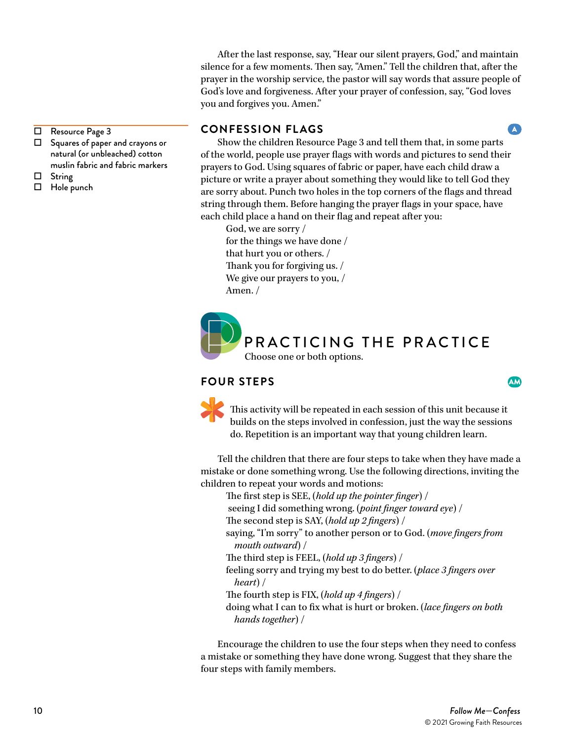□ Resource Page 3

 $\Box$  Squares of paper and crayons or natural (or unbleached) cotton muslin fabric and fabric markers

□ String

□ Hole punch

After the last response, say, "Hear our silent prayers, God," and maintain silence for a few moments. Then say, "Amen." Tell the children that, after the prayer in the worship service, the pastor will say words that assure people of God's love and forgiveness. After your prayer of confession, say, "God loves you and forgives you. Amen."

### **CONFESSION FLAGS**

Show the children Resource Page 3 and tell them that, in some parts of the world, people use prayer flags with words and pictures to send their prayers to God. Using squares of fabric or paper, have each child draw a picture or write a prayer about something they would like to tell God they are sorry about. Punch two holes in the top corners of the flags and thread string through them. Before hanging the prayer flags in your space, have each child place a hand on their flag and repeat after you:

God, we are sorry / for the things we have done / that hurt you or others. / Thank you for forgiving us. / We give our prayers to you, / Amen. /



### **FOUR STEPS**



 $\boldsymbol{\Lambda}$ 

This activity will be repeated in each session of this unit because it builds on the steps involved in confession, just the way the sessions do. Repetition is an important way that young children learn.

Tell the children that there are four steps to take when they have made a mistake or done something wrong. Use the following directions, inviting the children to repeat your words and motions:

The first step is SEE, (*hold up the pointer finger*) / seeing I did something wrong. (*point finger toward eye*) / The second step is SAY, (*hold up 2 fingers*) / saying, "I'm sorry" to another person or to God. (*move fingers from mouth outward*) / The third step is FEEL, (*hold up 3 fingers*) / feeling sorry and trying my best to do better. (*place 3 fingers over heart*) / The fourth step is FIX, (*hold up 4 fingers*) / doing what I can to fix what is hurt or broken. (*lace fingers on both* 

*hands together*) /

Encourage the children to use the four steps when they need to confess a mistake or something they have done wrong. Suggest that they share the four steps with family members.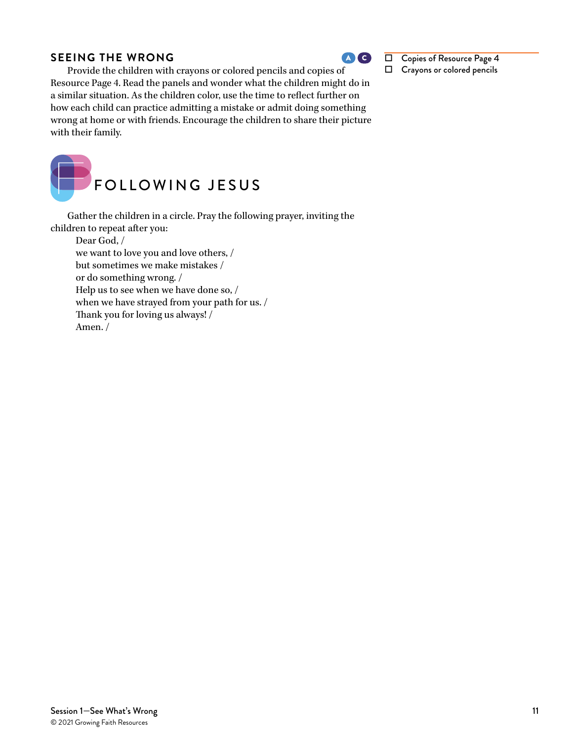### **SEEING THE WRONG**

Provide the children with crayons or colored pencils and copies of Resource Page 4. Read the panels and wonder what the children might do in a similar situation. As the children color, use the time to reflect further on how each child can practice admitting a mistake or admit doing something wrong at home or with friends. Encourage the children to share their picture with their family.



Gather the children in a circle. Pray the following prayer, inviting the children to repeat after you:

Dear God, / we want to love you and love others, / but sometimes we make mistakes / or do something wrong. / Help us to see when we have done so, / when we have strayed from your path for us. / Thank you for loving us always! / Amen. /



□ Copies of Resource Page 4 Crayons or colored pencils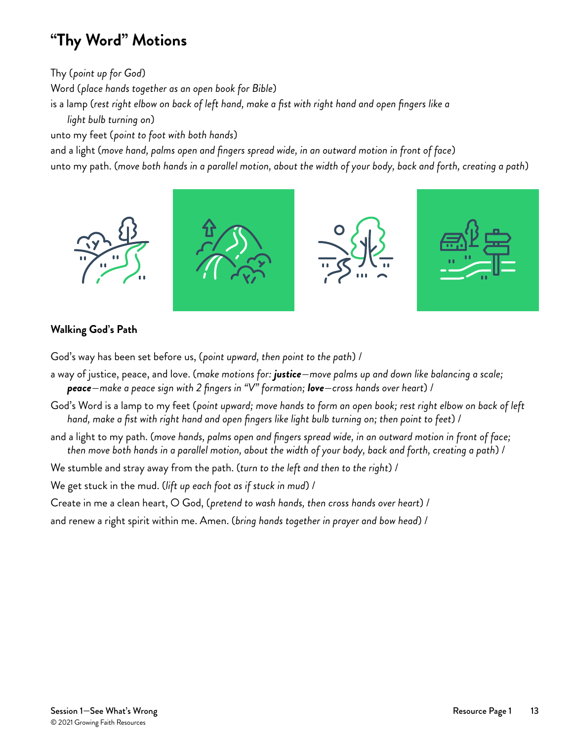# **"Thy Word" Motions**

Thy (*point up for God*)

Word (*place hands together as an open book for Bible*)

is a lamp (*rest right elbow on back of left hand, make a fist with right hand and open fingers like a* 

*light bulb turning on*)

unto my feet (*point to foot with both hands*)

and a light (*move hand, palms open and fingers spread wide, in an outward motion in front of face*) unto my path. (*move both hands in a parallel motion, about the width of your body, back and forth, creating a path*)



### **Walking God's Path**

God's way has been set before us, (*point upward, then point to the path*) /

- a way of justice, peace, and love. (m*ake motions for: justice—move palms up and down like balancing a scale; peace—make a peace sign with 2 fingers in "V" formation; love—cross hands over heart*) /
- God's Word is a lamp to my feet (*point upward; move hands to form an open book; rest right elbow on back of left hand, make a fist with right hand and open fingers like light bulb turning on; then point to feet*) /
- and a light to my path. (*move hands, palms open and fingers spread wide, in an outward motion in front of face; then move both hands in a parallel motion, about the width of your body, back and forth, creating a path*) /

We stumble and stray away from the path. (*turn to the left and then to the right*) /

We get stuck in the mud. (*lift up each foot as if stuck in mud*) /

Create in me a clean heart, O God, (*pretend to wash hands, then cross hands over heart*) /

and renew a right spirit within me. Amen. (*bring hands together in prayer and bow head*) /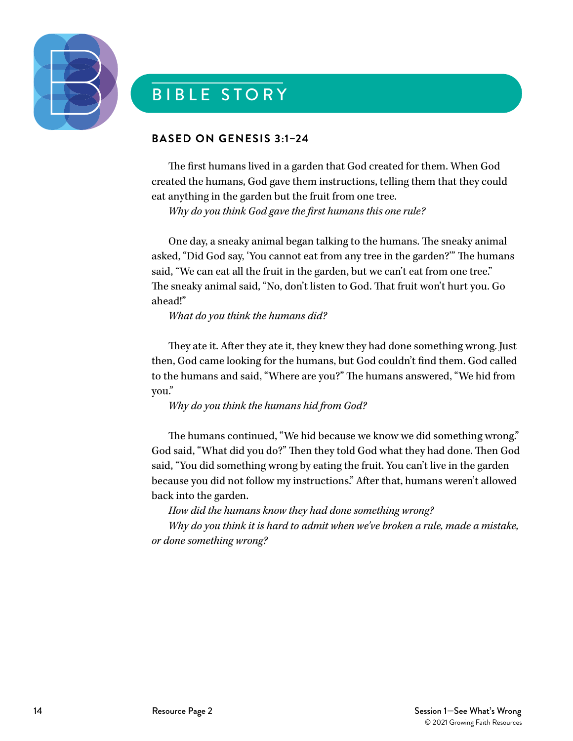

# BIBLE STORY

### **BASED ON GENESIS 3:1–24**

The first humans lived in a garden that God created for them. When God created the humans, God gave them instructions, telling them that they could eat anything in the garden but the fruit from one tree.

*Why do you think God gave the first humans this one rule?*

One day, a sneaky animal began talking to the humans. The sneaky animal asked, "Did God say, 'You cannot eat from any tree in the garden?'" The humans said, "We can eat all the fruit in the garden, but we can't eat from one tree." The sneaky animal said, "No, don't listen to God. That fruit won't hurt you. Go ahead!"

*What do you think the humans did?*

They ate it. After they ate it, they knew they had done something wrong. Just then, God came looking for the humans, but God couldn't find them. God called to the humans and said, "Where are you?" The humans answered, "We hid from you."

*Why do you think the humans hid from God?*

The humans continued, "We hid because we know we did something wrong." God said, "What did you do?" Then they told God what they had done. Then God said, "You did something wrong by eating the fruit. You can't live in the garden because you did not follow my instructions." After that, humans weren't allowed back into the garden.

*How did the humans know they had done something wrong?*

*Why do you think it is hard to admit when we've broken a rule, made a mistake, or done something wrong?*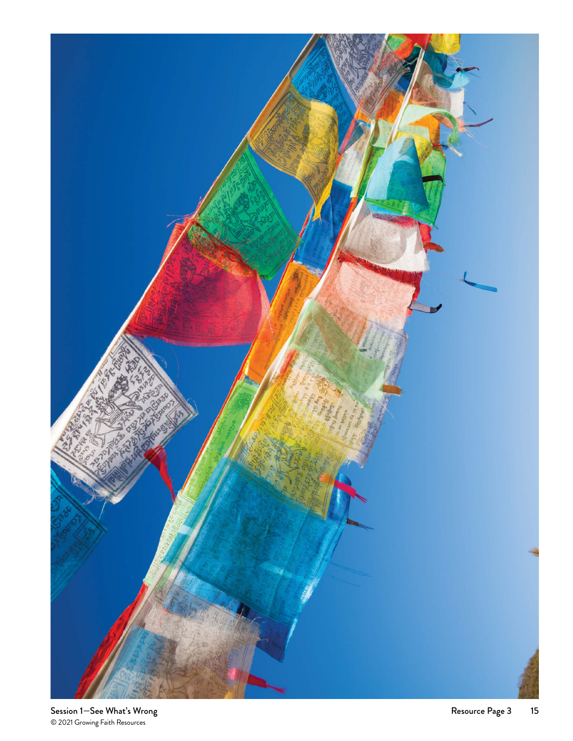